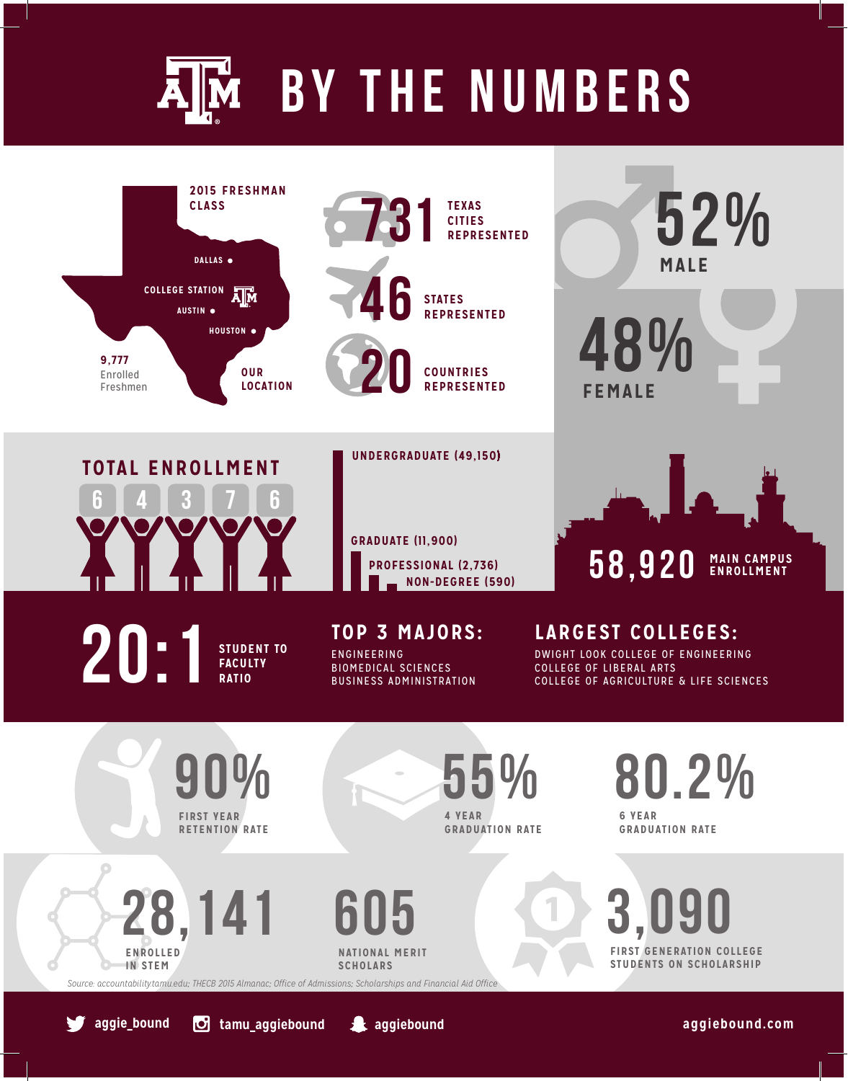## AM BY THE NUMBERS



*Source: accountability.tamu.edu; THECB 2015 Almanac; Office of Admissions; Scholarships and Financial Aid Office*

**2** aggiebound

**aggie\_bound tamu\_aggiebound aggiebound.com**